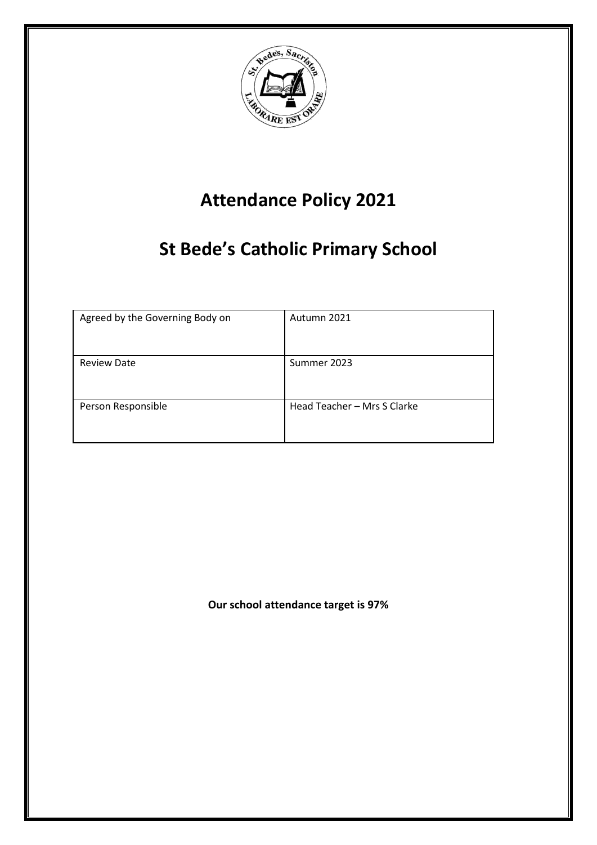

# **Attendance Policy 2021**

# **St Bede's Catholic Primary School**

| Agreed by the Governing Body on | Autumn 2021                 |
|---------------------------------|-----------------------------|
| <b>Review Date</b>              | Summer 2023                 |
| Person Responsible              | Head Teacher - Mrs S Clarke |

**Our school attendance target is 97%**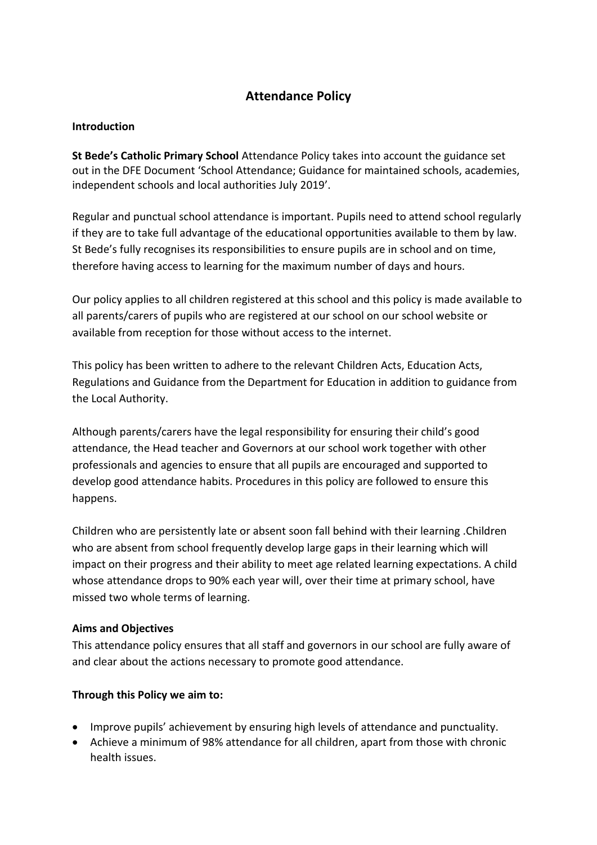# **Attendance Policy**

### **Introduction**

**St Bede's Catholic Primary School** Attendance Policy takes into account the guidance set out in the DFE Document 'School Attendance; Guidance for maintained schools, academies, independent schools and local authorities July 2019'.

Regular and punctual school attendance is important. Pupils need to attend school regularly if they are to take full advantage of the educational opportunities available to them by law. St Bede's fully recognises its responsibilities to ensure pupils are in school and on time, therefore having access to learning for the maximum number of days and hours.

Our policy applies to all children registered at this school and this policy is made available to all parents/carers of pupils who are registered at our school on our school website or available from reception for those without access to the internet.

This policy has been written to adhere to the relevant Children Acts, Education Acts, Regulations and Guidance from the Department for Education in addition to guidance from the Local Authority.

Although parents/carers have the legal responsibility for ensuring their child's good attendance, the Head teacher and Governors at our school work together with other professionals and agencies to ensure that all pupils are encouraged and supported to develop good attendance habits. Procedures in this policy are followed to ensure this happens.

Children who are persistently late or absent soon fall behind with their learning .Children who are absent from school frequently develop large gaps in their learning which will impact on their progress and their ability to meet age related learning expectations. A child whose attendance drops to 90% each year will, over their time at primary school, have missed two whole terms of learning.

#### **Aims and Objectives**

This attendance policy ensures that all staff and governors in our school are fully aware of and clear about the actions necessary to promote good attendance.

## **Through this Policy we aim to:**

- Improve pupils' achievement by ensuring high levels of attendance and punctuality.
- Achieve a minimum of 98% attendance for all children, apart from those with chronic health issues.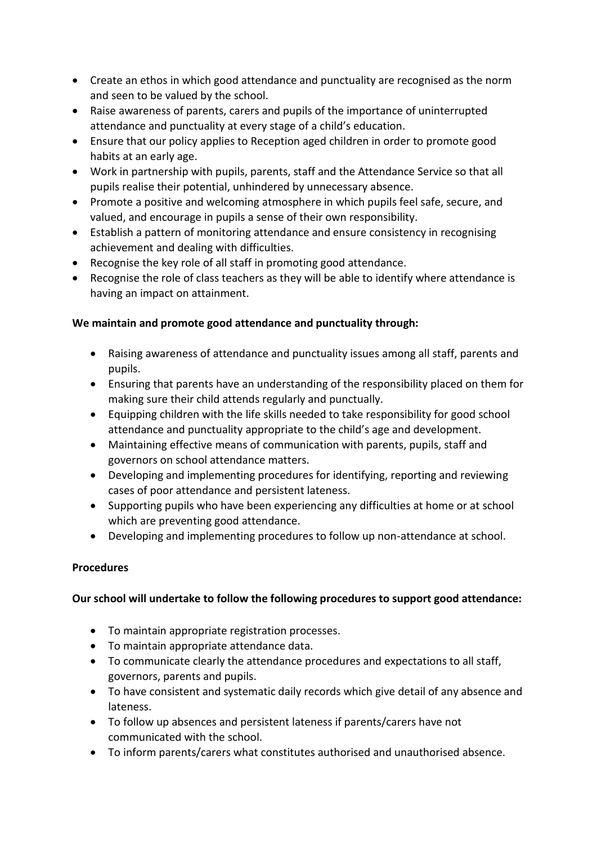- Create an ethos in which good attendance and punctuality are recognised as the norm and seen to be valued by the school.
- Raise awareness of parents, carers and pupils of the importance of uninterrupted attendance and punctuality at every stage of a child's education.
- Ensure that our policy applies to Reception aged children in order to promote good habits at an early age.
- Work in partnership with pupils, parents, staff and the Attendance Service so that all pupils realise their potential, unhindered by unnecessary absence.
- Promote a positive and welcoming atmosphere in which pupils feel safe, secure, and valued, and encourage in pupils a sense of their own responsibility.
- Establish a pattern of monitoring attendance and ensure consistency in recognising achievement and dealing with difficulties.
- Recognise the key role of all staff in promoting good attendance.
- Recognise the role of class teachers as they will be able to identify where attendance is having an impact on attainment.

# **We maintain and promote good attendance and punctuality through:**

- Raising awareness of attendance and punctuality issues among all staff, parents and pupils.
- Ensuring that parents have an understanding of the responsibility placed on them for making sure their child attends regularly and punctually.
- Equipping children with the life skills needed to take responsibility for good school attendance and punctuality appropriate to the child's age and development.
- Maintaining effective means of communication with parents, pupils, staff and governors on school attendance matters.
- Developing and implementing procedures for identifying, reporting and reviewing cases of poor attendance and persistent lateness.
- Supporting pupils who have been experiencing any difficulties at home or at school which are preventing good attendance.
- Developing and implementing procedures to follow up non-attendance at school.

# **Procedures**

# **Our school will undertake to follow the following procedures to support good attendance:**

- To maintain appropriate registration processes.
- To maintain appropriate attendance data.
- To communicate clearly the attendance procedures and expectations to all staff, governors, parents and pupils.
- To have consistent and systematic daily records which give detail of any absence and lateness.
- To follow up absences and persistent lateness if parents/carers have not communicated with the school.
- To inform parents/carers what constitutes authorised and unauthorised absence.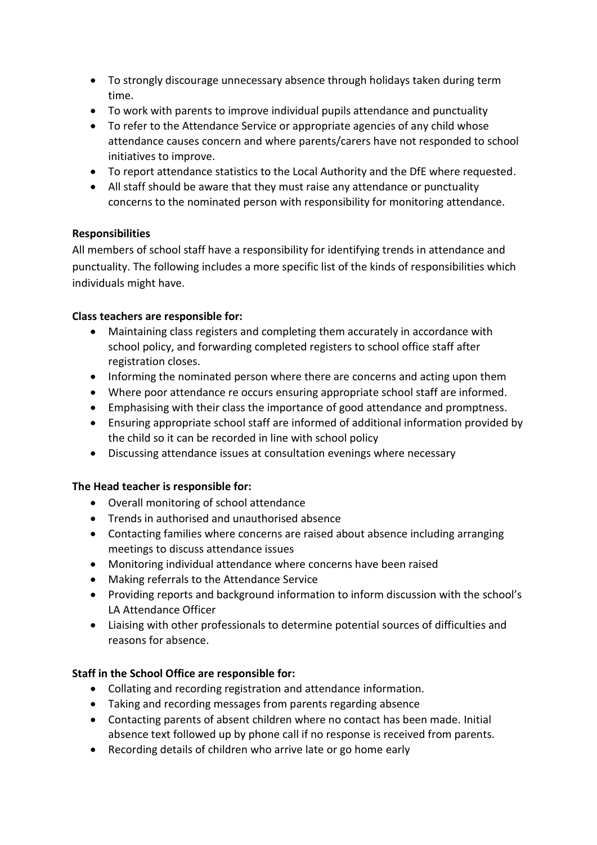- To strongly discourage unnecessary absence through holidays taken during term time.
- To work with parents to improve individual pupils attendance and punctuality
- To refer to the Attendance Service or appropriate agencies of any child whose attendance causes concern and where parents/carers have not responded to school initiatives to improve.
- To report attendance statistics to the Local Authority and the DfE where requested.
- All staff should be aware that they must raise any attendance or punctuality concerns to the nominated person with responsibility for monitoring attendance.

## **Responsibilities**

All members of school staff have a responsibility for identifying trends in attendance and punctuality. The following includes a more specific list of the kinds of responsibilities which individuals might have.

## **Class teachers are responsible for:**

- Maintaining class registers and completing them accurately in accordance with school policy, and forwarding completed registers to school office staff after registration closes.
- Informing the nominated person where there are concerns and acting upon them
- Where poor attendance re occurs ensuring appropriate school staff are informed.
- Emphasising with their class the importance of good attendance and promptness.
- Ensuring appropriate school staff are informed of additional information provided by the child so it can be recorded in line with school policy
- Discussing attendance issues at consultation evenings where necessary

## **The Head teacher is responsible for:**

- Overall monitoring of school attendance
- Trends in authorised and unauthorised absence
- Contacting families where concerns are raised about absence including arranging meetings to discuss attendance issues
- Monitoring individual attendance where concerns have been raised
- Making referrals to the Attendance Service
- Providing reports and background information to inform discussion with the school's LA Attendance Officer
- Liaising with other professionals to determine potential sources of difficulties and reasons for absence.

## **Staff in the School Office are responsible for:**

- Collating and recording registration and attendance information.
- Taking and recording messages from parents regarding absence
- Contacting parents of absent children where no contact has been made. Initial absence text followed up by phone call if no response is received from parents.
- Recording details of children who arrive late or go home early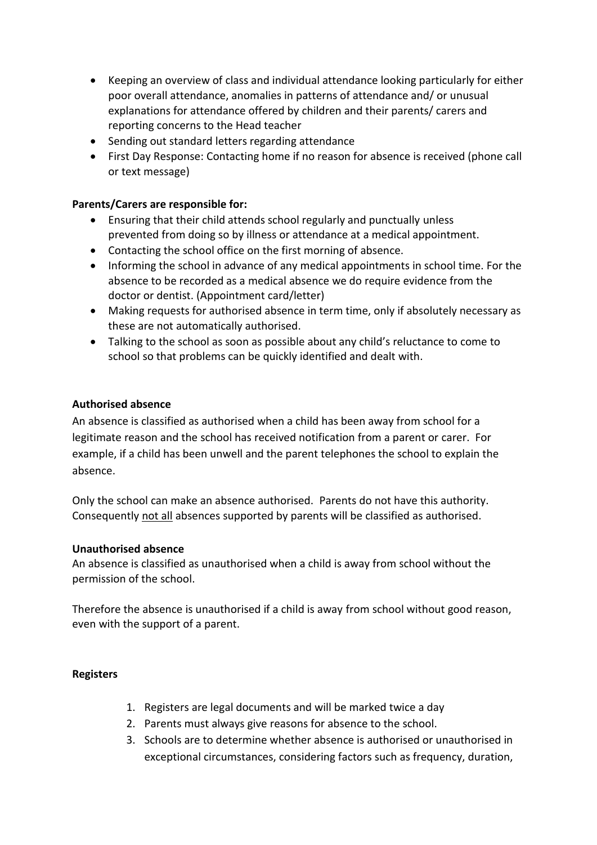- Keeping an overview of class and individual attendance looking particularly for either poor overall attendance, anomalies in patterns of attendance and/ or unusual explanations for attendance offered by children and their parents/ carers and reporting concerns to the Head teacher
- Sending out standard letters regarding attendance
- First Day Response: Contacting home if no reason for absence is received (phone call or text message)

### **Parents/Carers are responsible for:**

- Ensuring that their child attends school regularly and punctually unless prevented from doing so by illness or attendance at a medical appointment.
- Contacting the school office on the first morning of absence.
- Informing the school in advance of any medical appointments in school time. For the absence to be recorded as a medical absence we do require evidence from the doctor or dentist. (Appointment card/letter)
- Making requests for authorised absence in term time, only if absolutely necessary as these are not automatically authorised.
- Talking to the school as soon as possible about any child's reluctance to come to school so that problems can be quickly identified and dealt with.

#### **Authorised absence**

An absence is classified as authorised when a child has been away from school for a legitimate reason and the school has received notification from a parent or carer. For example, if a child has been unwell and the parent telephones the school to explain the absence.

Only the school can make an absence authorised. Parents do not have this authority. Consequently not all absences supported by parents will be classified as authorised.

#### **Unauthorised absence**

An absence is classified as unauthorised when a child is away from school without the permission of the school.

Therefore the absence is unauthorised if a child is away from school without good reason, even with the support of a parent.

#### **Registers**

- 1. Registers are legal documents and will be marked twice a day
- 2. Parents must always give reasons for absence to the school.
- 3. Schools are to determine whether absence is authorised or unauthorised in exceptional circumstances, considering factors such as frequency, duration,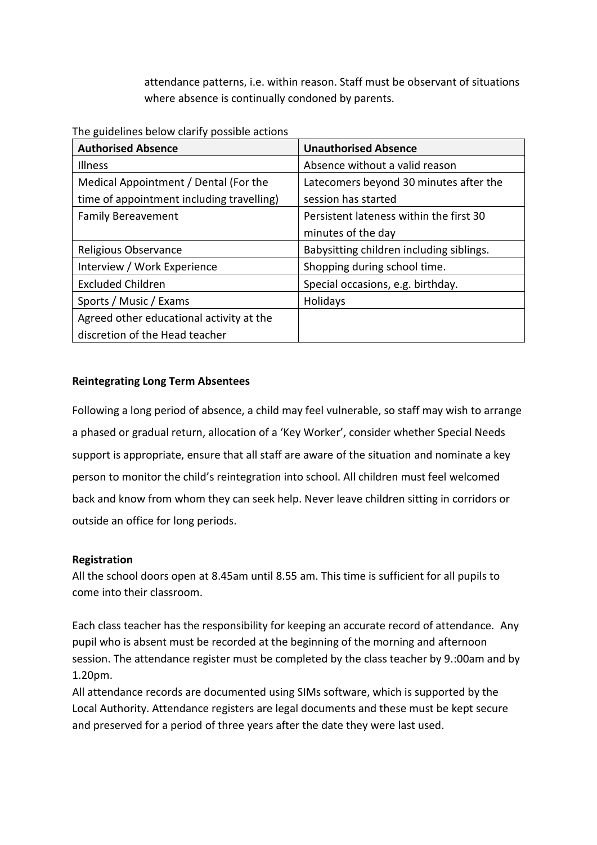attendance patterns, i.e. within reason. Staff must be observant of situations where absence is continually condoned by parents.

The guidelines below clarify possible actions

| <b>Authorised Absence</b>                 | <b>Unauthorised Absence</b>              |
|-------------------------------------------|------------------------------------------|
| <b>Illness</b>                            | Absence without a valid reason           |
| Medical Appointment / Dental (For the     | Latecomers beyond 30 minutes after the   |
| time of appointment including travelling) | session has started                      |
| <b>Family Bereavement</b>                 | Persistent lateness within the first 30  |
|                                           | minutes of the day                       |
| Religious Observance                      | Babysitting children including siblings. |
| Interview / Work Experience               | Shopping during school time.             |
| <b>Excluded Children</b>                  | Special occasions, e.g. birthday.        |
| Sports / Music / Exams                    | Holidays                                 |
| Agreed other educational activity at the  |                                          |
| discretion of the Head teacher            |                                          |

## **Reintegrating Long Term Absentees**

Following a long period of absence, a child may feel vulnerable, so staff may wish to arrange a phased or gradual return, allocation of a 'Key Worker', consider whether Special Needs support is appropriate, ensure that all staff are aware of the situation and nominate a key person to monitor the child's reintegration into school. All children must feel welcomed back and know from whom they can seek help. Never leave children sitting in corridors or outside an office for long periods.

#### **Registration**

All the school doors open at 8.45am until 8.55 am. This time is sufficient for all pupils to come into their classroom.

Each class teacher has the responsibility for keeping an accurate record of attendance. Any pupil who is absent must be recorded at the beginning of the morning and afternoon session. The attendance register must be completed by the class teacher by 9.:00am and by 1.20pm.

All attendance records are documented using SIMs software, which is supported by the Local Authority. Attendance registers are legal documents and these must be kept secure and preserved for a period of three years after the date they were last used.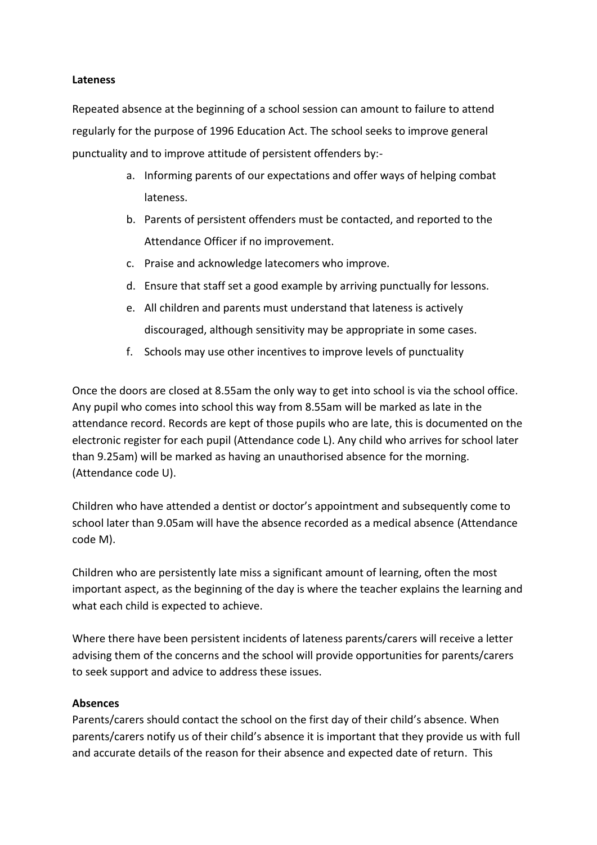#### **Lateness**

Repeated absence at the beginning of a school session can amount to failure to attend regularly for the purpose of 1996 Education Act. The school seeks to improve general punctuality and to improve attitude of persistent offenders by:-

- a. Informing parents of our expectations and offer ways of helping combat lateness.
- b. Parents of persistent offenders must be contacted, and reported to the Attendance Officer if no improvement.
- c. Praise and acknowledge latecomers who improve.
- d. Ensure that staff set a good example by arriving punctually for lessons.
- e. All children and parents must understand that lateness is actively discouraged, although sensitivity may be appropriate in some cases.
- f. Schools may use other incentives to improve levels of punctuality

Once the doors are closed at 8.55am the only way to get into school is via the school office. Any pupil who comes into school this way from 8.55am will be marked as late in the attendance record. Records are kept of those pupils who are late, this is documented on the electronic register for each pupil (Attendance code L). Any child who arrives for school later than 9.25am) will be marked as having an unauthorised absence for the morning. (Attendance code U).

Children who have attended a dentist or doctor's appointment and subsequently come to school later than 9.05am will have the absence recorded as a medical absence (Attendance code M).

Children who are persistently late miss a significant amount of learning, often the most important aspect, as the beginning of the day is where the teacher explains the learning and what each child is expected to achieve.

Where there have been persistent incidents of lateness parents/carers will receive a letter advising them of the concerns and the school will provide opportunities for parents/carers to seek support and advice to address these issues.

## **Absences**

Parents/carers should contact the school on the first day of their child's absence. When parents/carers notify us of their child's absence it is important that they provide us with full and accurate details of the reason for their absence and expected date of return. This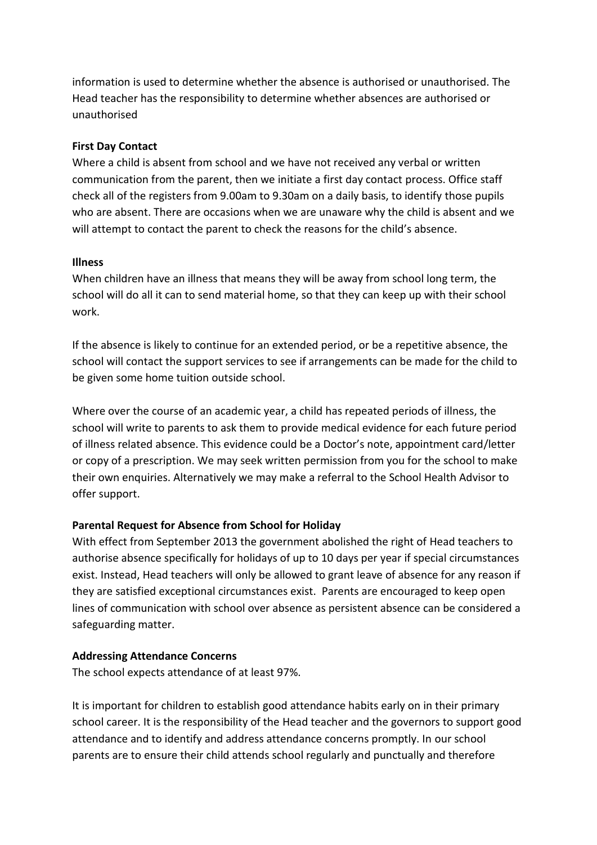information is used to determine whether the absence is authorised or unauthorised. The Head teacher has the responsibility to determine whether absences are authorised or unauthorised

## **First Day Contact**

Where a child is absent from school and we have not received any verbal or written communication from the parent, then we initiate a first day contact process. Office staff check all of the registers from 9.00am to 9.30am on a daily basis, to identify those pupils who are absent. There are occasions when we are unaware why the child is absent and we will attempt to contact the parent to check the reasons for the child's absence.

## **Illness**

When children have an illness that means they will be away from school long term, the school will do all it can to send material home, so that they can keep up with their school work.

If the absence is likely to continue for an extended period, or be a repetitive absence, the school will contact the support services to see if arrangements can be made for the child to be given some home tuition outside school.

Where over the course of an academic year, a child has repeated periods of illness, the school will write to parents to ask them to provide medical evidence for each future period of illness related absence. This evidence could be a Doctor's note, appointment card/letter or copy of a prescription. We may seek written permission from you for the school to make their own enquiries. Alternatively we may make a referral to the School Health Advisor to offer support.

# **Parental Request for Absence from School for Holiday**

With effect from September 2013 the government abolished the right of Head teachers to authorise absence specifically for holidays of up to 10 days per year if special circumstances exist. Instead, Head teachers will only be allowed to grant leave of absence for any reason if they are satisfied exceptional circumstances exist. Parents are encouraged to keep open lines of communication with school over absence as persistent absence can be considered a safeguarding matter.

## **Addressing Attendance Concerns**

The school expects attendance of at least 97%.

It is important for children to establish good attendance habits early on in their primary school career. It is the responsibility of the Head teacher and the governors to support good attendance and to identify and address attendance concerns promptly. In our school parents are to ensure their child attends school regularly and punctually and therefore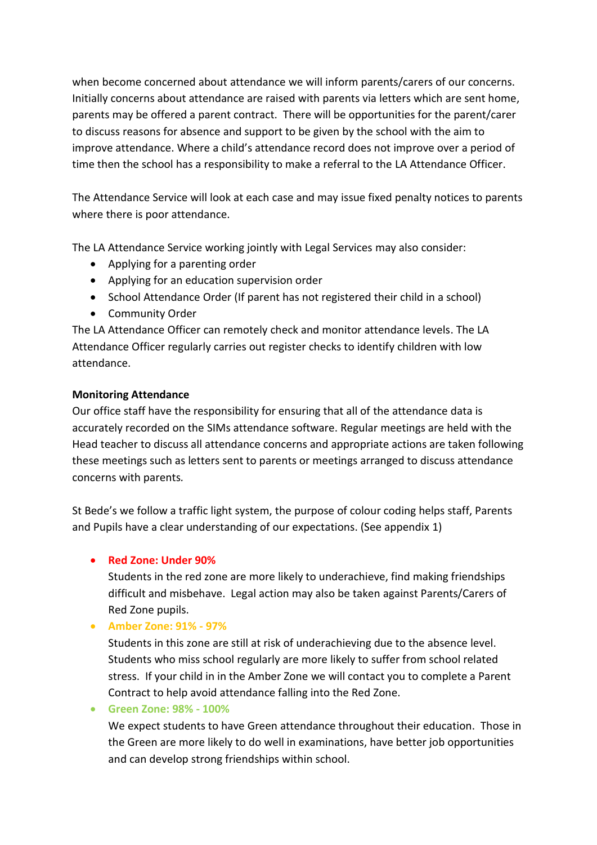when become concerned about attendance we will inform parents/carers of our concerns. Initially concerns about attendance are raised with parents via letters which are sent home, parents may be offered a parent contract. There will be opportunities for the parent/carer to discuss reasons for absence and support to be given by the school with the aim to improve attendance. Where a child's attendance record does not improve over a period of time then the school has a responsibility to make a referral to the LA Attendance Officer.

The Attendance Service will look at each case and may issue fixed penalty notices to parents where there is poor attendance.

The LA Attendance Service working jointly with Legal Services may also consider:

- Applying for a parenting order
- Applying for an education supervision order
- School Attendance Order (If parent has not registered their child in a school)
- Community Order

The LA Attendance Officer can remotely check and monitor attendance levels. The LA Attendance Officer regularly carries out register checks to identify children with low attendance.

## **Monitoring Attendance**

Our office staff have the responsibility for ensuring that all of the attendance data is accurately recorded on the SIMs attendance software. Regular meetings are held with the Head teacher to discuss all attendance concerns and appropriate actions are taken following these meetings such as letters sent to parents or meetings arranged to discuss attendance concerns with parents*.*

St Bede's we follow a traffic light system, the purpose of colour coding helps staff, Parents and Pupils have a clear understanding of our expectations. (See appendix 1)

## • **Red Zone: Under 90%**

Students in the red zone are more likely to underachieve, find making friendships difficult and misbehave. Legal action may also be taken against Parents/Carers of Red Zone pupils.

• **Amber Zone: 91% - 97%**

Students in this zone are still at risk of underachieving due to the absence level. Students who miss school regularly are more likely to suffer from school related stress. If your child in in the Amber Zone we will contact you to complete a Parent Contract to help avoid attendance falling into the Red Zone.

• **Green Zone: 98% - 100%**

We expect students to have Green attendance throughout their education. Those in the Green are more likely to do well in examinations, have better job opportunities and can develop strong friendships within school.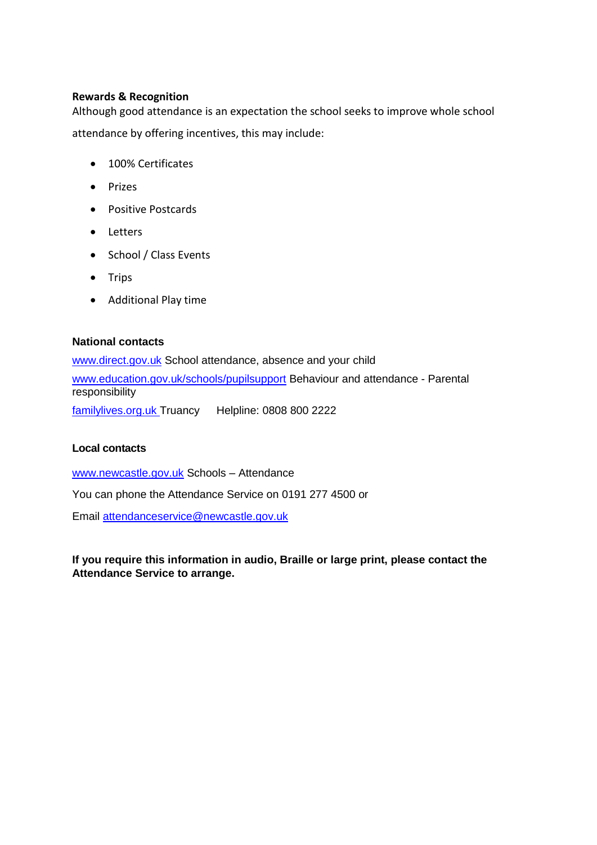#### **Rewards & Recognition**

Although good attendance is an expectation the school seeks to improve whole school attendance by offering incentives, this may include:

- 100% Certificates
- Prizes
- Positive Postcards
- Letters
- School / Class Events
- Trips
- Additional Play time

## **National contacts**

[www.direct.gov.uk](http://www.direct.gov.uk/) School attendance, absence and your child [www.education.gov.uk/schools/pupilsupport](http://www.education.gov.uk/schools/pupilsupport) Behaviour and attendance - Parental responsibility familylives.org.uk Truancy Helpline: 0808 800 2222

#### **Local contacts**

[www.newcastle.gov.uk](http://www.newcastle.gov.uk/) Schools – Attendance

You can phone the Attendance Service on 0191 277 4500 or

Email attendanceservice@newcastle.gov.uk

**If you require this information in audio, Braille or large print, please contact the Attendance Service to arrange.**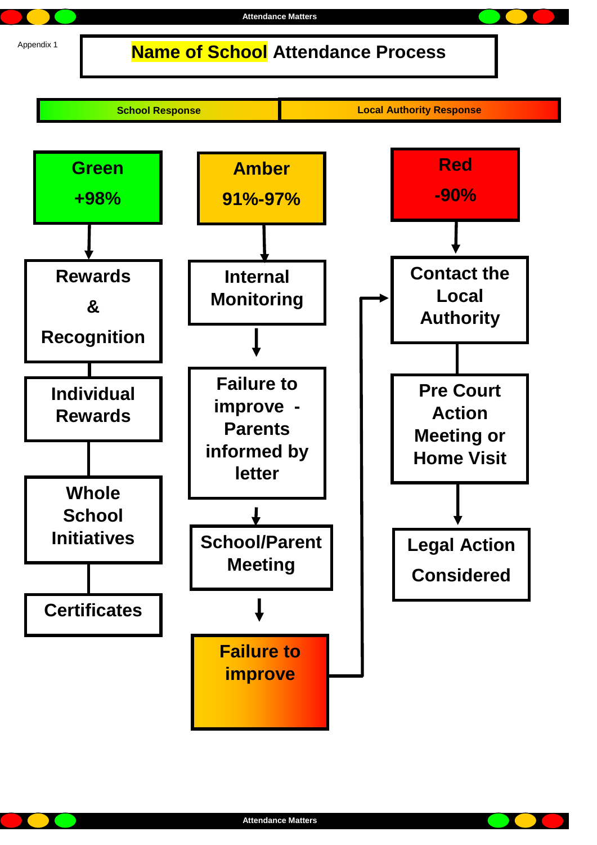**Name of School Attendance Process**